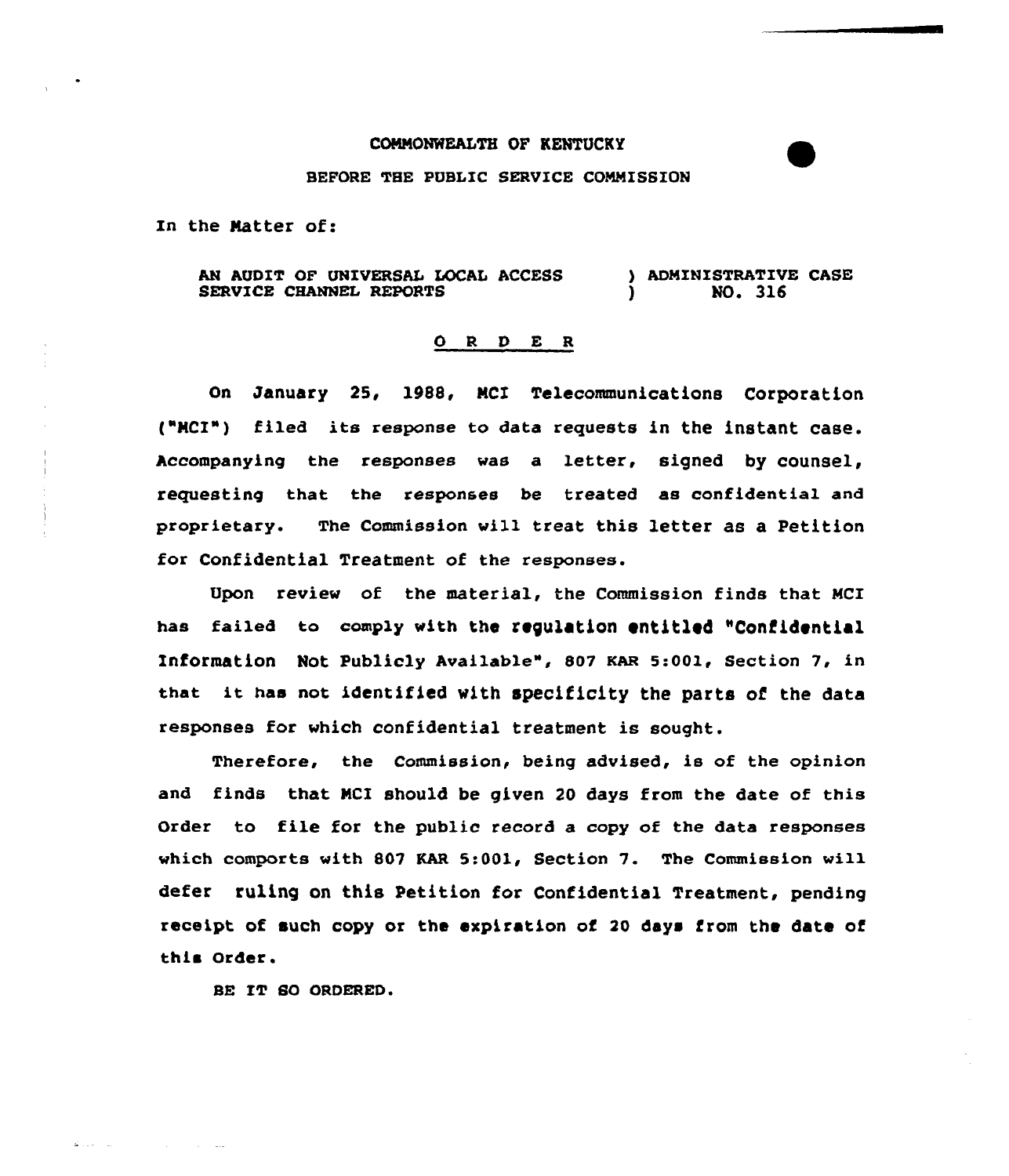## COMMONWEALTH OF KENTUCKY

## BEFORE THE PUBLIC SERVICE CONNISSION

In the Natter of:

AN AUDIT OF UNIVERSAL LOCAL ACCESS SERVICE CHANNEL REPORTS ) ADMINISTRATIVE CASE ) NO. 316

## 0 <sup>R</sup> <sup>D</sup> E <sup>R</sup>

On January 25, 1988, NCI Telecommunications Corporation ("NCI") filed its response to data requests in the instant case. Accompanying the responses was a letter, signed by counsel, requesting that the responses be treated as confidential and proprietary. The Commission will treat this letter as a Petition for Confidential Treatment of the responses.

Upon review of the material, the Commission finds that MCI has failed to comply with the regulation entitled "Confidential Information Not Publicly Available", 807 KAR 5:001, Section 7, in that it has not identified with specificity the parts of the data responses for which confidential treatment is sought.

Therefore, the Commission, being advised, is of the opinion and finds that NCI should be given 20 days from the date of this Order to file for the public record a copy of the data responses which comports with 807 KAR 5:001, Section 7. The Commission will defer ruling on this Petition for Confidential Treatment, pending receipt of such copy or the expiration of 20 days from the date of this Order.

SE XT SO ORDERED.

البارا الأوليائية